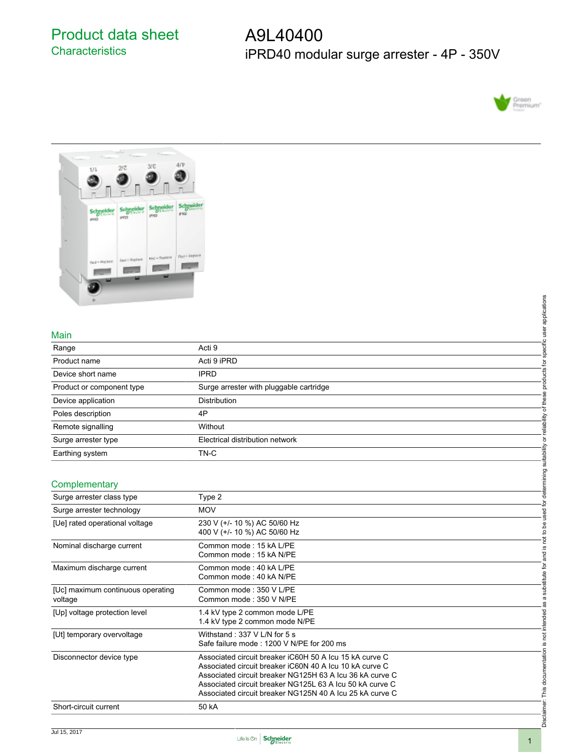Product data sheet **Characteristics** 

A9L40400 iPRD40 modular surge arrester - 4P - 350V





### Main

|                           |                                         | applications |
|---------------------------|-----------------------------------------|--------------|
|                           |                                         |              |
| Main                      |                                         |              |
| Range                     | Acti 9                                  | '湯           |
| Product name              | Acti 9 iPRD                             |              |
| Device short name         | <b>IPRD</b>                             |              |
| Product or component type | Surge arrester with pluggable cartridge |              |
| Device application        | <b>Distribution</b>                     |              |
| Poles description         | 4P                                      |              |
| Remote signalling         | Without                                 | ability      |
| Surge arrester type       | Electrical distribution network         |              |
| Earthing system           | TN-C                                    | abilit       |

### **Complementary**

|                                   |                                                                                                                                                                                                                                                                                                        | specific user applications                                                                                           |
|-----------------------------------|--------------------------------------------------------------------------------------------------------------------------------------------------------------------------------------------------------------------------------------------------------------------------------------------------------|----------------------------------------------------------------------------------------------------------------------|
|                                   |                                                                                                                                                                                                                                                                                                        |                                                                                                                      |
| Main                              |                                                                                                                                                                                                                                                                                                        |                                                                                                                      |
| Range                             | Acti 9                                                                                                                                                                                                                                                                                                 |                                                                                                                      |
| Product name                      | Acti 9 iPRD                                                                                                                                                                                                                                                                                            |                                                                                                                      |
| Device short name                 | <b>IPRD</b>                                                                                                                                                                                                                                                                                            | products for                                                                                                         |
| Product or component type         | Surge arrester with pluggable cartridge                                                                                                                                                                                                                                                                |                                                                                                                      |
| Device application                | Distribution                                                                                                                                                                                                                                                                                           |                                                                                                                      |
| Poles description                 | 4P                                                                                                                                                                                                                                                                                                     |                                                                                                                      |
| Remote signalling                 | Without                                                                                                                                                                                                                                                                                                | or reliability of these                                                                                              |
| Surge arrester type               | Electrical distribution network                                                                                                                                                                                                                                                                        |                                                                                                                      |
| Earthing system                   | TN-C                                                                                                                                                                                                                                                                                                   |                                                                                                                      |
|                                   |                                                                                                                                                                                                                                                                                                        |                                                                                                                      |
| Complementary                     |                                                                                                                                                                                                                                                                                                        |                                                                                                                      |
| Surge arrester class type         | Type 2                                                                                                                                                                                                                                                                                                 |                                                                                                                      |
| Surge arrester technology         | <b>MOV</b>                                                                                                                                                                                                                                                                                             |                                                                                                                      |
| [Ue] rated operational voltage    | 230 V (+/- 10 %) AC 50/60 Hz                                                                                                                                                                                                                                                                           |                                                                                                                      |
|                                   | 400 V (+/- 10 %) AC 50/60 Hz                                                                                                                                                                                                                                                                           |                                                                                                                      |
| Nominal discharge current         | Common mode: 15 kA L/PE                                                                                                                                                                                                                                                                                |                                                                                                                      |
|                                   | Common mode: 15 kA N/PE                                                                                                                                                                                                                                                                                |                                                                                                                      |
| Maximum discharge current         | Common mode: 40 kA L/PE<br>Common mode: 40 kA N/PE                                                                                                                                                                                                                                                     |                                                                                                                      |
| [Uc] maximum continuous operating | Common mode: 350 V L/PE                                                                                                                                                                                                                                                                                |                                                                                                                      |
| voltage                           | Common mode: 350 V N/PE                                                                                                                                                                                                                                                                                |                                                                                                                      |
| [Up] voltage protection level     | 1.4 kV type 2 common mode L/PE<br>1.4 kV type 2 common mode N/PE                                                                                                                                                                                                                                       |                                                                                                                      |
| [Ut] temporary overvoltage        | Withstand: 337 V L/N for 5 s<br>Safe failure mode: 1200 V N/PE for 200 ms                                                                                                                                                                                                                              |                                                                                                                      |
| Disconnector device type          | Associated circuit breaker iC60H 50 A Icu 15 kA curve C<br>Associated circuit breaker iC60N 40 A Icu 10 kA curve C<br>Associated circuit breaker NG125H 63 A Icu 36 kA curve C<br>Associated circuit breaker NG125L 63 A Icu 50 kA curve C<br>Associated circuit breaker NG125N 40 A Icu 25 kA curve C | Disclaimer: This documentation is not intended as a substitute for and is not to be used for determining suitability |
| Short-circuit current             | 50 kA                                                                                                                                                                                                                                                                                                  |                                                                                                                      |
|                                   |                                                                                                                                                                                                                                                                                                        |                                                                                                                      |